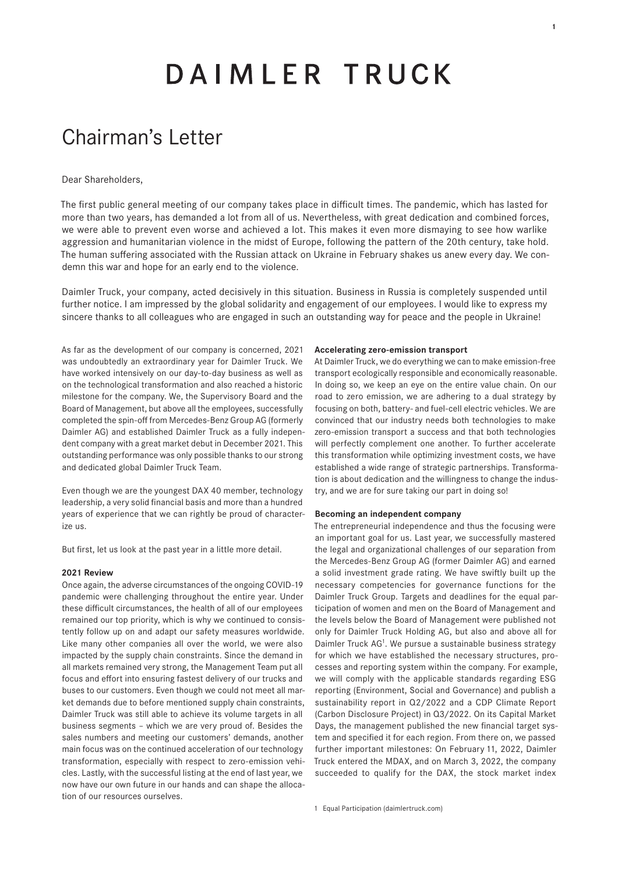# DAIMLER TRUCK

## Chairman's Letter

#### Dear Shareholders,

The first public general meeting of our company takes place in difficult times. The pandemic, which has lasted for more than two years, has demanded a lot from all of us. Nevertheless, with great dedication and combined forces, we were able to prevent even worse and achieved a lot. This makes it even more dismaying to see how warlike aggression and humanitarian violence in the midst of Europe, following the pattern of the 20th century, take hold. The human suffering associated with the Russian attack on Ukraine in February shakes us anew every day. We condemn this war and hope for an early end to the violence.

Daimler Truck, your company, acted decisively in this situation. Business in Russia is completely suspended until further notice. I am impressed by the global solidarity and engagement of our employees. I would like to express my sincere thanks to all colleagues who are engaged in such an outstanding way for peace and the people in Ukraine!

As far as the development of our company is concerned, 2021 was undoubtedly an extraordinary year for Daimler Truck. We have worked intensively on our day-to-day business as well as on the technological transformation and also reached a historic milestone for the company. We, the Supervisory Board and the Board of Management, but above all the employees, successfully completed the spin-off from Mercedes-Benz Group AG (formerly Daimler AG) and established Daimler Truck as a fully independent company with a great market debut in December 2021. This outstanding performance was only possible thanks to our strong and dedicated global Daimler Truck Team.

Even though we are the youngest DAX 40 member, technology leadership, a very solid financial basis and more than a hundred years of experience that we can rightly be proud of characterize us.

But first, let us look at the past year in a little more detail.

#### **2021 Review**

Once again, the adverse circumstances of the ongoing COVID-19 pandemic were challenging throughout the entire year. Under these difficult circumstances, the health of all of our employees remained our top priority, which is why we continued to consistently follow up on and adapt our safety measures worldwide. Like many other companies all over the world, we were also impacted by the supply chain constraints. Since the demand in all markets remained very strong, the Management Team put all focus and effort into ensuring fastest delivery of our trucks and buses to our customers. Even though we could not meet all market demands due to before mentioned supply chain constraints, Daimler Truck was still able to achieve its volume targets in all business segments – which we are very proud of. Besides the sales numbers and meeting our customers' demands, another main focus was on the continued acceleration of our technology transformation, especially with respect to zero-emission vehicles. Lastly, with the successful listing at the end of last year, we now have our own future in our hands and can shape the allocation of our resources ourselves.

#### **Accelerating zero-emission transport**

At Daimler Truck, we do everything we can to make emission-free transport ecologically responsible and economically reasonable. In doing so, we keep an eye on the entire value chain. On our road to zero emission, we are adhering to a dual strategy by focusing on both, battery- and fuel-cell electric vehicles. We are convinced that our industry needs both technologies to make zero-emission transport a success and that both technologies will perfectly complement one another. To further accelerate this transformation while optimizing investment costs, we have established a wide range of strategic partnerships. Transformation is about dedication and the willingness to change the industry, and we are for sure taking our part in doing so!

#### **Becoming an independent company**

The entrepreneurial independence and thus the focusing were an important goal for us. Last year, we successfully mastered the legal and organizational challenges of our separation from the Mercedes-Benz Group AG (former Daimler AG) and earned a solid investment grade rating. We have swiftly built up the necessary competencies for governance functions for the Daimler Truck Group. Targets and deadlines for the equal participation of women and men on the Board of Management and the levels below the Board of Management were published not only for Daimler Truck Holding AG, but also and above all for Daimler Truck AG1. We pursue a sustainable business strategy for which we have established the necessary structures, processes and reporting system within the company. For example, we will comply with the applicable standards regarding ESG reporting (Environment, Social and Governance) and publish a sustainability report in Q2/2022 and a CDP Climate Report (Carbon Disclosure Project) in Q3/2022. On its Capital Market Days, the management published the new financial target system and specified it for each region. From there on, we passed further important milestones: On February 11, 2022, Daimler Truck entered the MDAX, and on March 3, 2022, the company succeeded to qualify for the DAX, the stock market index